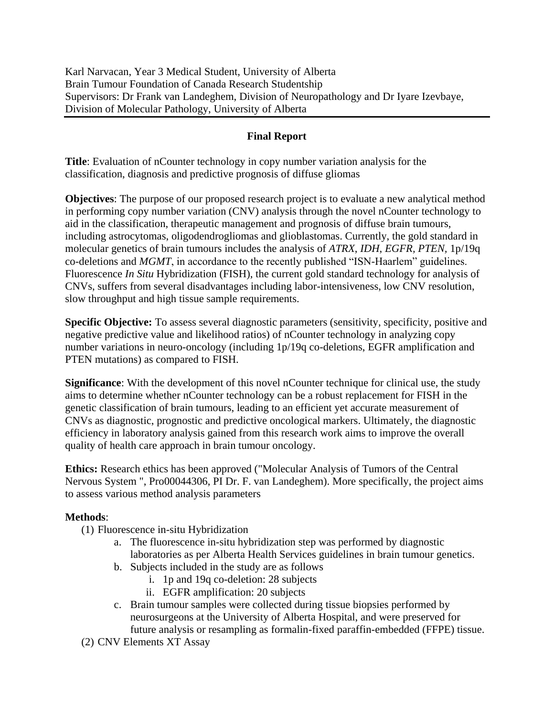Karl Narvacan, Year 3 Medical Student, University of Alberta Brain Tumour Foundation of Canada Research Studentship Supervisors: Dr Frank van Landeghem, Division of Neuropathology and Dr Iyare Izevbaye, Division of Molecular Pathology, University of Alberta

# **Final Report**

**Title**: Evaluation of nCounter technology in copy number variation analysis for the classification, diagnosis and predictive prognosis of diffuse gliomas

**Objectives**: The purpose of our proposed research project is to evaluate a new analytical method in performing copy number variation (CNV) analysis through the novel nCounter technology to aid in the classification, therapeutic management and prognosis of diffuse brain tumours, including astrocytomas, oligodendrogliomas and glioblastomas. Currently, the gold standard in molecular genetics of brain tumours includes the analysis of *ATRX*, *IDH*, *EGFR, PTEN,* 1p/19q co-deletions and *MGMT*, in accordance to the recently published "ISN-Haarlem" guidelines. Fluorescence *In Situ* Hybridization (FISH), the current gold standard technology for analysis of CNVs, suffers from several disadvantages including labor-intensiveness, low CNV resolution, slow throughput and high tissue sample requirements.

**Specific Objective:** To assess several diagnostic parameters (sensitivity, specificity, positive and negative predictive value and likelihood ratios) of nCounter technology in analyzing copy number variations in neuro-oncology (including 1p/19q co-deletions, EGFR amplification and PTEN mutations) as compared to FISH.

**Significance**: With the development of this novel nCounter technique for clinical use, the study aims to determine whether nCounter technology can be a robust replacement for FISH in the genetic classification of brain tumours, leading to an efficient yet accurate measurement of CNVs as diagnostic, prognostic and predictive oncological markers. Ultimately, the diagnostic efficiency in laboratory analysis gained from this research work aims to improve the overall quality of health care approach in brain tumour oncology.

**Ethics:** Research ethics has been approved ("Molecular Analysis of Tumors of the Central Nervous System ", Pro00044306, PI Dr. F. van Landeghem). More specifically, the project aims to assess various method analysis parameters

#### **Methods**:

- (1) Fluorescence in-situ Hybridization
	- a. The fluorescence in-situ hybridization step was performed by diagnostic laboratories as per Alberta Health Services guidelines in brain tumour genetics.
	- b. Subjects included in the study are as follows
		- i. 1p and 19q co-deletion: 28 subjects
		- ii. EGFR amplification: 20 subjects
	- c. Brain tumour samples were collected during tissue biopsies performed by neurosurgeons at the University of Alberta Hospital, and were preserved for future analysis or resampling as formalin-fixed paraffin-embedded (FFPE) tissue.
- (2) CNV Elements XT Assay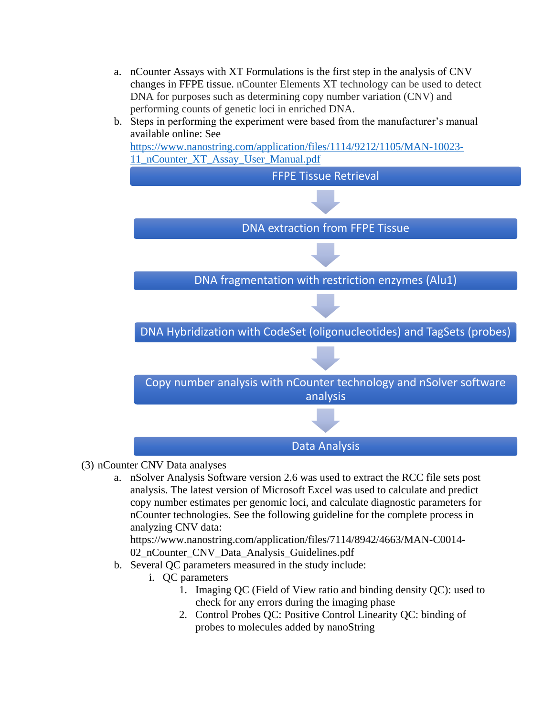a. nCounter Assays with XT Formulations is the first step in the analysis of CNV changes in FFPE tissue. nCounter Elements XT technology can be used to detect DNA for purposes such as determining copy number variation (CNV) and performing counts of genetic loci in enriched DNA.



- (3) nCounter CNV Data analyses
	- a. nSolver Analysis Software version 2.6 was used to extract the RCC file sets post analysis. The latest version of Microsoft Excel was used to calculate and predict copy number estimates per genomic loci, and calculate diagnostic parameters for nCounter technologies. See the following guideline for the complete process in analyzing CNV data:

https://www.nanostring.com/application/files/7114/8942/4663/MAN-C0014- 02\_nCounter\_CNV\_Data\_Analysis\_Guidelines.pdf

- b. Several QC parameters measured in the study include:
	- i. QC parameters
		- 1. Imaging QC (Field of View ratio and binding density QC): used to check for any errors during the imaging phase
		- 2. Control Probes QC: Positive Control Linearity QC: binding of probes to molecules added by nanoString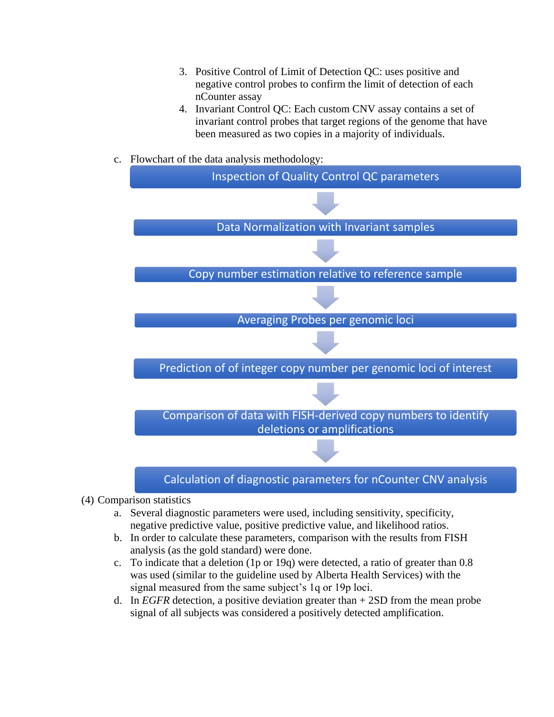- 3. Positive Control of Limit of Detection QC: uses positive and negative control probes to confirm the limit of detection of each nCounter assay
- 4. Invariant Control QC: Each custom CNV assay contains a set of invariant control probes that target regions of the genome that have been measured as two copies in a majority of individuals.
- c. Flowchart of the data analysis methodology:



- (4) Comparison statistics
	- a. Several diagnostic parameters were used, including sensitivity, specificity, negative predictive value, positive predictive value, and likelihood ratios.
	- b. In order to calculate these parameters, comparison with the results from FISH analysis (as the gold standard) were done.
	- c. To indicate that a deletion (1p or 19q) were detected, a ratio of greater than 0.8 was used (similar to the guideline used by Alberta Health Services) with the signal measured from the same subject's 1q or 19p loci.
	- d. In *EGFR* detection, a positive deviation greater than + 2SD from the mean probe signal of all subjects was considered a positively detected amplification.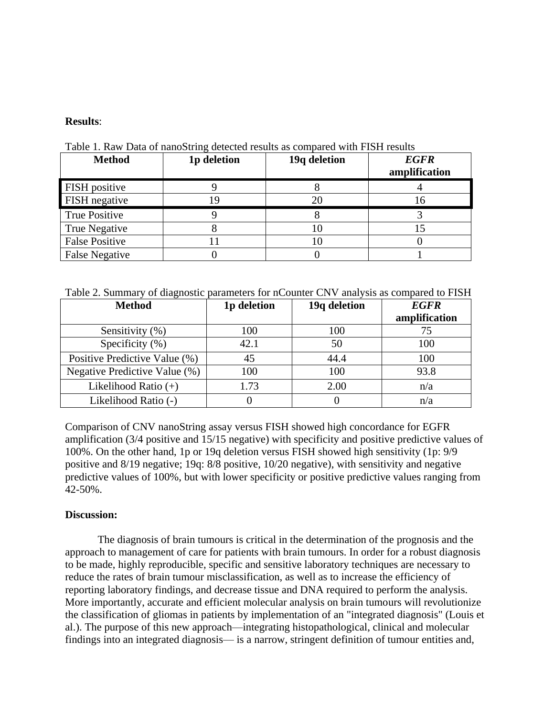#### **Results**:

| <b>Method</b>         | 1p deletion | 19q deletion | <b>EGFR</b><br>amplification |
|-----------------------|-------------|--------------|------------------------------|
| <b>FISH</b> positive  |             |              |                              |
| FISH negative         |             | 20           | 16                           |
| <b>True Positive</b>  |             |              |                              |
| True Negative         |             |              |                              |
| <b>False Positive</b> |             |              |                              |
| <b>False Negative</b> |             |              |                              |

Table 1. Raw Data of nanoString detected results as compared with FISH results

Table 2. Summary of diagnostic parameters for nCounter CNV analysis as compared to FISH

| <b>Method</b>                 | 1p deletion | 19q deletion | <b>EGFR</b><br>amplification |
|-------------------------------|-------------|--------------|------------------------------|
| Sensitivity (%)               | 100         | 100          | 75                           |
| Specificity $(\% )$           | 42.1        | 50           | 100                          |
| Positive Predictive Value (%) | 45          | 44.4         | 100                          |
| Negative Predictive Value (%) | 100         | 100          | 93.8                         |
| Likelihood Ratio $(+)$        | 1.73        | 2.00         | n/a                          |
| Likelihood Ratio (-)          |             |              | n/a                          |

Comparison of CNV nanoString assay versus FISH showed high concordance for EGFR amplification (3/4 positive and 15/15 negative) with specificity and positive predictive values of 100%. On the other hand, 1p or 19q deletion versus FISH showed high sensitivity (1p: 9/9 positive and 8/19 negative; 19q: 8/8 positive, 10/20 negative), with sensitivity and negative predictive values of 100%, but with lower specificity or positive predictive values ranging from 42-50%.

# **Discussion:**

The diagnosis of brain tumours is critical in the determination of the prognosis and the approach to management of care for patients with brain tumours. In order for a robust diagnosis to be made, highly reproducible, specific and sensitive laboratory techniques are necessary to reduce the rates of brain tumour misclassification, as well as to increase the efficiency of reporting laboratory findings, and decrease tissue and DNA required to perform the analysis. More importantly, accurate and efficient molecular analysis on brain tumours will revolutionize the classification of gliomas in patients by implementation of an "integrated diagnosis" (Louis et al.). The purpose of this new approach—integrating histopathological, clinical and molecular findings into an integrated diagnosis— is a narrow, stringent definition of tumour entities and,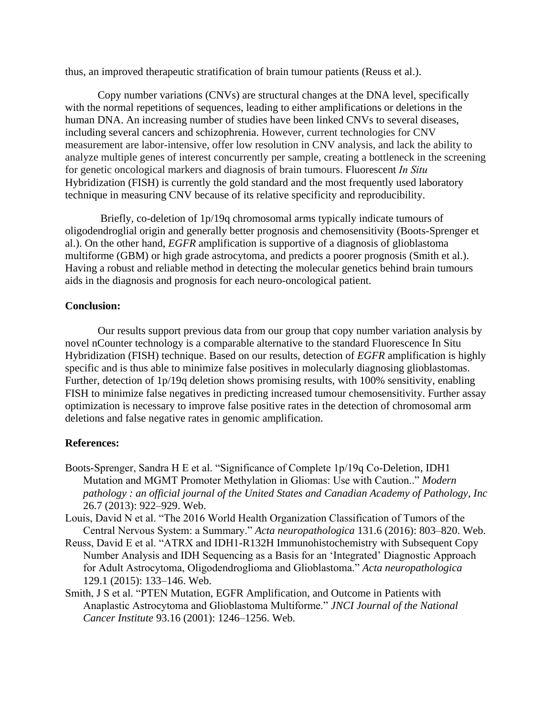thus, an improved therapeutic stratification of brain tumour patients (Reuss et al.).

Copy number variations (CNVs) are structural changes at the DNA level, specifically with the normal repetitions of sequences, leading to either amplifications or deletions in the human DNA. An increasing number of studies have been linked CNVs to several diseases, including several cancers and schizophrenia. However, current technologies for CNV measurement are labor-intensive, offer low resolution in CNV analysis, and lack the ability to analyze multiple genes of interest concurrently per sample, creating a bottleneck in the screening for genetic oncological markers and diagnosis of brain tumours. Fluorescent *In Situ*  Hybridization (FISH) is currently the gold standard and the most frequently used laboratory technique in measuring CNV because of its relative specificity and reproducibility.

Briefly, co-deletion of 1p/19q chromosomal arms typically indicate tumours of oligodendroglial origin and generally better prognosis and chemosensitivity (Boots-Sprenger et al.). On the other hand, *EGFR* amplification is supportive of a diagnosis of glioblastoma multiforme (GBM) or high grade astrocytoma, and predicts a poorer prognosis (Smith et al.). Having a robust and reliable method in detecting the molecular genetics behind brain tumours aids in the diagnosis and prognosis for each neuro-oncological patient.

### **Conclusion:**

Our results support previous data from our group that copy number variation analysis by novel nCounter technology is a comparable alternative to the standard Fluorescence In Situ Hybridization (FISH) technique. Based on our results, detection of *EGFR* amplification is highly specific and is thus able to minimize false positives in molecularly diagnosing glioblastomas. Further, detection of 1p/19q deletion shows promising results, with 100% sensitivity, enabling FISH to minimize false negatives in predicting increased tumour chemosensitivity. Further assay optimization is necessary to improve false positive rates in the detection of chromosomal arm deletions and false negative rates in genomic amplification.

# **References:**

- Boots-Sprenger, Sandra H E et al. "Significance of Complete 1p/19q Co-Deletion, IDH1 Mutation and MGMT Promoter Methylation in Gliomas: Use with Caution.." Modern *pathology : an official journal of the United States and Canadian Academy of Pathology, Inc* 26.7 (2013): 922–929. Web.
- Louis, David N et al. "The 2016 World Health Organization Classification of Tumors of the Central Nervous System: a Summary." *Acta neuropathologica* 131.6 (2016): 803-820. Web.
- Reuss, David E et al. "ATRX and IDH1-R132H Immunohistochemistry with Subsequent Copy Number Analysis and IDH Sequencing as a Basis for an 'Integrated' Diagnostic Approach for Adult Astrocytoma, Oligodendroglioma and Glioblastoma.‖ *Acta neuropathologica* 129.1 (2015): 133–146. Web.
- Smith, J S et al. "PTEN Mutation, EGFR Amplification, and Outcome in Patients with Anaplastic Astrocytoma and Glioblastoma Multiforme." *JNCI Journal of the National Cancer Institute* 93.16 (2001): 1246–1256. Web.